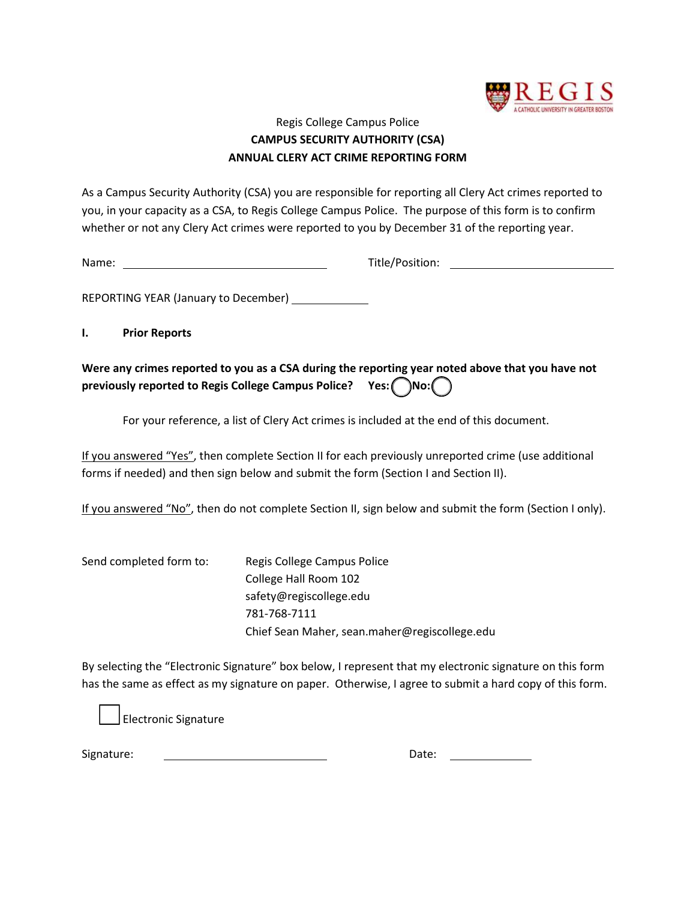

## Regis College Campus Police **CAMPUS SECURITY AUTHORITY (CSA) ANNUAL CLERY ACT CRIME REPORTING FORM**

As a Campus Security Authority (CSA) you are responsible for reporting all Clery Act crimes reported to you, in your capacity as a CSA, to Regis College Campus Police. The purpose of this form is to confirm whether or not any Clery Act crimes were reported to you by December 31 of the reporting year.

Name: Title/Position:

REPORTING YEAR (January to December)

**I. Prior Reports**

**Were any crimes reported to you as a CSA during the reporting year noted above that you have not previously reported to Regis College Campus Police?** Yes: ( )No: (

For your reference, a list of Clery Act crimes is included at the end of this document.

If you answered "Yes", then complete Section II for each previously unreported crime (use additional forms if needed) and then sign below and submit the form (Section I and Section II).

If you answered "No", then do not complete Section II, sign below and submit the form (Section I only).

Send completed form to: Regis College Campus Police College Hall Room 102 safety@regiscollege.edu 781-768-7111 Chief Sean Maher, sean.maher@regiscollege.edu

By selecting the "Electronic Signature" box below, I represent that my electronic signature on this form has the same as effect as my signature on paper. Otherwise, I agree to submit a hard copy of this form.

Electronic Signature

Signature: Date: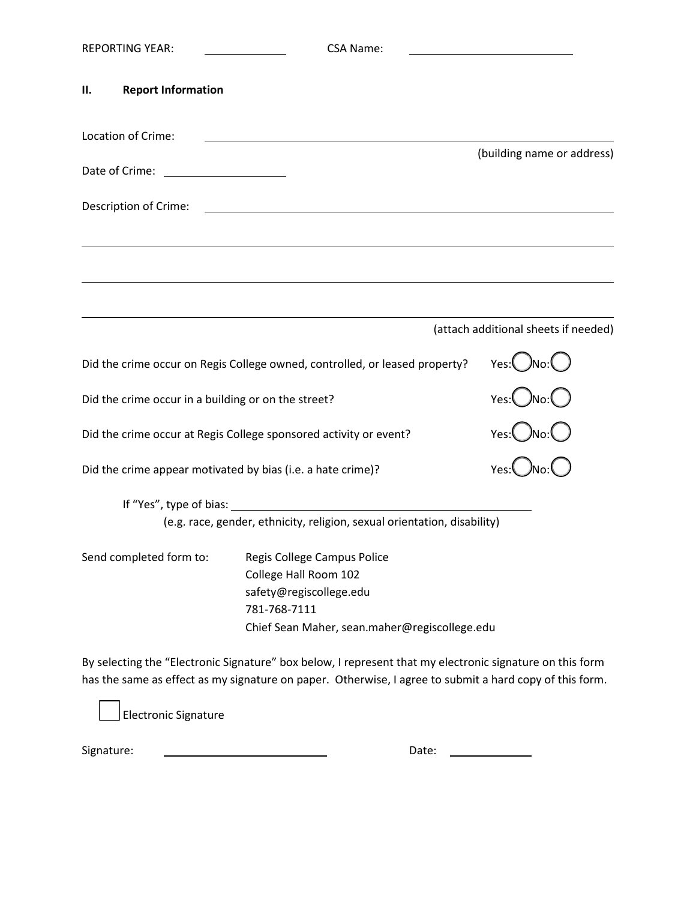|                                                                                                                                            | <b>REPORTING YEAR:</b>                                                      | <b>CSA Name:</b>                                                                                                                                                                                                    |                                      |
|--------------------------------------------------------------------------------------------------------------------------------------------|-----------------------------------------------------------------------------|---------------------------------------------------------------------------------------------------------------------------------------------------------------------------------------------------------------------|--------------------------------------|
| Н.                                                                                                                                         | <b>Report Information</b>                                                   |                                                                                                                                                                                                                     |                                      |
| Location of Crime:<br><u> 1989 - Johann John Stone, markin film yn y brening yn y brening yn y brening y brening yn y brening y brenin</u> |                                                                             |                                                                                                                                                                                                                     | (building name or address)           |
|                                                                                                                                            | Date of Crime: _______________________                                      |                                                                                                                                                                                                                     |                                      |
|                                                                                                                                            | Description of Crime:                                                       | <u> 1989 - Johann Barbara, martin amerikan basal dan berasal dalam basal dan berasal dalam basal dalam basal dala</u>                                                                                               |                                      |
|                                                                                                                                            |                                                                             |                                                                                                                                                                                                                     |                                      |
|                                                                                                                                            |                                                                             |                                                                                                                                                                                                                     | (attach additional sheets if needed) |
|                                                                                                                                            | Did the crime occur on Regis College owned, controlled, or leased property? |                                                                                                                                                                                                                     |                                      |
|                                                                                                                                            | Did the crime occur in a building or on the street?                         |                                                                                                                                                                                                                     |                                      |
|                                                                                                                                            | Did the crime occur at Regis College sponsored activity or event?           | Yes:Ono:O                                                                                                                                                                                                           |                                      |
|                                                                                                                                            | Did the crime appear motivated by bias (i.e. a hate crime)?                 |                                                                                                                                                                                                                     |                                      |
|                                                                                                                                            |                                                                             | (e.g. race, gender, ethnicity, religion, sexual orientation, disability)                                                                                                                                            |                                      |
|                                                                                                                                            | Send completed form to:                                                     | Regis College Campus Police<br>College Hall Room 102<br>safety@regiscollege.edu<br>781-768-7111<br>Chief Sean Maher, sean.maher@regiscollege.edu                                                                    |                                      |
|                                                                                                                                            |                                                                             | By selecting the "Electronic Signature" box below, I represent that my electronic signature on this form<br>has the same as effect as my signature on paper. Otherwise, I agree to submit a hard copy of this form. |                                      |

Electronic Signature

Signature: Date:

| )ate: |  |
|-------|--|
|       |  |